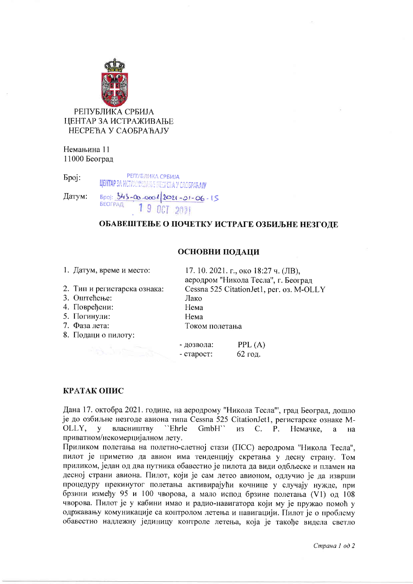

Немањина 11 11000 Београд

**РЕПУБЛИКА СРБИЈА Spoj: LIEHTAP SA MOTPANNYA ANA HECHERA Y CAOSPARAJY**  $5poj: 343-00-0001/2021-01-06-15$ Датум: **БЕОГРАД** 

# ОБАВЕШТЕЊЕ О ПОЧЕТКУ ИСТРАГЕ ОЗБИЉНЕ НЕЗГОДЕ

## ОСНОВНИ ПОДАЦИ

- 1. Датум, време и место:
	-
- 2. Тип и регистарска ознака: 3. Оштећење:
- 4. Повређени:
- 5. Погинули:
- 7. Фаза лета:
- 8. Подаци о пилоту:

17.10.2021. г., око 18:27 ч. (ЛВ), аеродром "Никола Тесла", г. Београл Cessna 525 Citation Jet1, per. os. M-OLLY Лако Нема Нема Током полетања

- дозвола:  $PPL(A)$ - crapocr: 62 год.

## КРАТАК ОПИС

Дана 17. октобра 2021. године, на аеродрому "Никола Тесла"', град Београд, дошло је до озбиљне незгоде авиона типа Cessna 525 CitationJet1, регистарске ознаке M-OLLY, у власништву "Ehrle GmbH`` из С. Р. Немачке, <sub>a</sub> на приватном/некомерцијалном лету.

Приликом полетања на полетно-слетној стази (ПСС) аеродрома "Никола Тесла", пилот је приметио да авион има тенденцију скретања у десну страну. Том приликом, један од два путника обавестио је пилота да види одбљеске и пламен на десној страни авиона. Пилот, који је сам летео авионом, одлучио је да изврши процедуру прекинутог полетања активирајући кочнице у случају нужде, при брзини између 95 и 100 чворова, а мало испод брзине полетања (V1) од 108 чворова. Пилот је у кабини имао и радио-навигатора који му је пружао помоћ у одржавању комуникације са контролом летења и навигацији. Пилот је о проблему обавестио надлежну јединицу контроле летења, која је такође видела светло